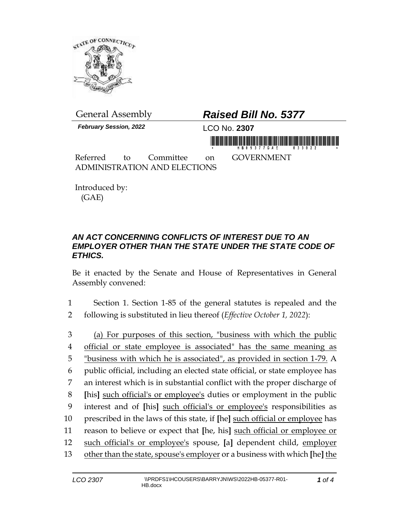

*February Session, 2022* LCO No. **2307**

## General Assembly *Raised Bill No. 5377*

in morning friends in his bill and his his bill annual

Referred to Committee on GOVERNMENT ADMINISTRATION AND ELECTIONS

Introduced by: (GAE)

## *AN ACT CONCERNING CONFLICTS OF INTEREST DUE TO AN EMPLOYER OTHER THAN THE STATE UNDER THE STATE CODE OF ETHICS.*

Be it enacted by the Senate and House of Representatives in General Assembly convened:

- 1 Section 1. Section 1-85 of the general statutes is repealed and the 2 following is substituted in lieu thereof (*Effective October 1, 2022*):
- 3 (a) For purposes of this section, "business with which the public 4 official or state employee is associated" has the same meaning as 5 "business with which he is associated", as provided in section 1-79. A 6 public official, including an elected state official, or state employee has 7 an interest which is in substantial conflict with the proper discharge of 8 **[**his**]** such official's or employee's duties or employment in the public 9 interest and of **[**his**]** such official's or employee's responsibilities as 10 prescribed in the laws of this state, if **[**he**]** such official or employee has 11 reason to believe or expect that **[**he, his**]** such official or employee or 12 such official's or employee's spouse, **[**a**]** dependent child, employer 13 other than the state, spouse's employer or a business with which **[**he**]** the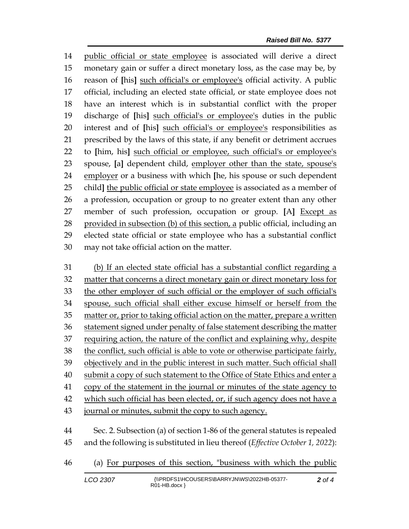public official or state employee is associated will derive a direct monetary gain or suffer a direct monetary loss, as the case may be, by reason of **[**his**]** such official's or employee's official activity. A public official, including an elected state official, or state employee does not have an interest which is in substantial conflict with the proper discharge of **[**his**]** such official's or employee's duties in the public interest and of **[**his**]** such official's or employee's responsibilities as prescribed by the laws of this state, if any benefit or detriment accrues to **[**him, his**]** such official or employee, such official's or employee's spouse, **[**a**]** dependent child, employer other than the state, spouse's employer or a business with which **[**he, his spouse or such dependent child**]** the public official or state employee is associated as a member of a profession, occupation or group to no greater extent than any other member of such profession, occupation or group. **[**A**]** Except as 28 provided in subsection (b) of this section, a public official, including an elected state official or state employee who has a substantial conflict may not take official action on the matter.

 (b) If an elected state official has a substantial conflict regarding a matter that concerns a direct monetary gain or direct monetary loss for the other employer of such official or the employer of such official's spouse, such official shall either excuse himself or herself from the matter or, prior to taking official action on the matter, prepare a written statement signed under penalty of false statement describing the matter requiring action, the nature of the conflict and explaining why, despite the conflict, such official is able to vote or otherwise participate fairly, objectively and in the public interest in such matter. Such official shall submit a copy of such statement to the Office of State Ethics and enter a 41 copy of the statement in the journal or minutes of the state agency to which such official has been elected, or, if such agency does not have a 43 journal or minutes, submit the copy to such agency. Sec. 2. Subsection (a) of section 1-86 of the general statutes is repealed

and the following is substituted in lieu thereof (*Effective October 1, 2022*):

(a) For purposes of this section, "business with which the public

| LCO 2307 | {\\PRDFS1\HCOUSERS\BARRYJN\WS\2022HB-05377-<br>$RO1-HB.docx$ } | 2 of 4 |
|----------|----------------------------------------------------------------|--------|
|----------|----------------------------------------------------------------|--------|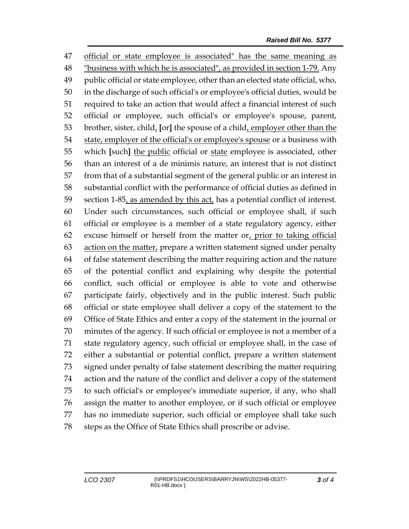official or state employee is associated" has the same meaning as "business with which he is associated", as provided in section 1-79. Any public official or state employee, other than an elected state official, who, in the discharge of such official's or employee's official duties, would be required to take an action that would affect a financial interest of such official or employee, such official's or employee's spouse, parent, brother, sister, child, **[**or**]** the spouse of a child, employer other than the state, employer of the official's or employee's spouse or a business with which **[**such**]** the public official or state employee is associated, other than an interest of a de minimis nature, an interest that is not distinct from that of a substantial segment of the general public or an interest in substantial conflict with the performance of official duties as defined in 59 section 1-85, as amended by this act, has a potential conflict of interest. Under such circumstances, such official or employee shall, if such official or employee is a member of a state regulatory agency, either excuse himself or herself from the matter or, prior to taking official action on the matter, prepare a written statement signed under penalty of false statement describing the matter requiring action and the nature of the potential conflict and explaining why despite the potential conflict, such official or employee is able to vote and otherwise participate fairly, objectively and in the public interest. Such public official or state employee shall deliver a copy of the statement to the Office of State Ethics and enter a copy of the statement in the journal or minutes of the agency. If such official or employee is not a member of a state regulatory agency, such official or employee shall, in the case of either a substantial or potential conflict, prepare a written statement signed under penalty of false statement describing the matter requiring action and the nature of the conflict and deliver a copy of the statement to such official's or employee's immediate superior, if any, who shall assign the matter to another employee, or if such official or employee has no immediate superior, such official or employee shall take such steps as the Office of State Ethics shall prescribe or advise.